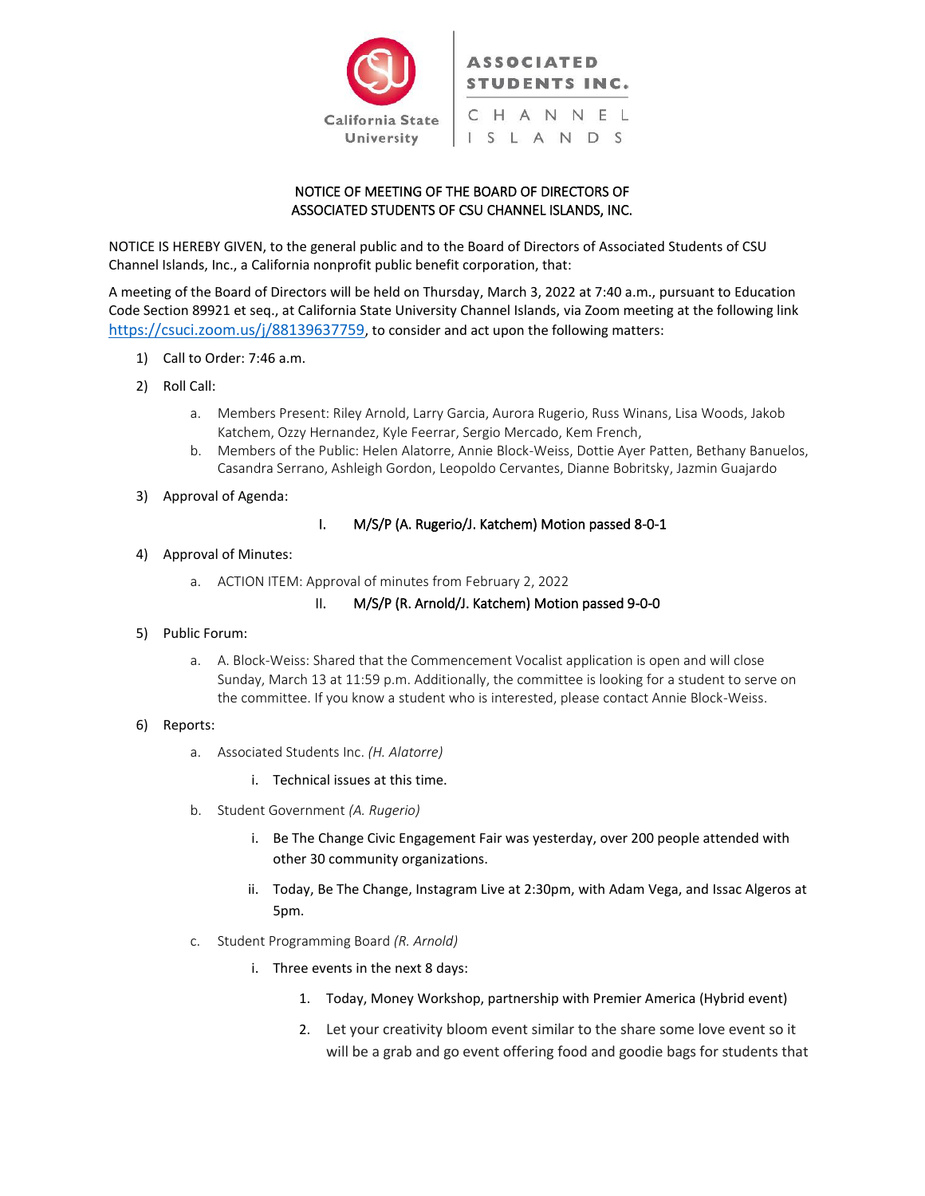

# NOTICE OF MEETING OF THE BOARD OF DIRECTORS OF ASSOCIATED STUDENTS OF CSU CHANNEL ISLANDS, INC.

NOTICE IS HEREBY GIVEN, to the general public and to the Board of Directors of Associated Students of CSU Channel Islands, Inc., a California nonprofit public benefit corporation, that:

A meeting of the Board of Directors will be held on Thursday, March 3, 2022 at 7:40 a.m., pursuant to Education Code Section 89921 et seq., at California State University Channel Islands, via Zoom meeting at the following link <https://csuci.zoom.us/j/88139637759>, to consider and act upon the following matters:

- 1) Call to Order: 7:46 a.m.
- 2) Roll Call:
	- a. Members Present: Riley Arnold, Larry Garcia, Aurora Rugerio, Russ Winans, Lisa Woods, Jakob Katchem, Ozzy Hernandez, Kyle Feerrar, Sergio Mercado, Kem French,
	- b. Members of the Public: Helen Alatorre, Annie Block-Weiss, Dottie Ayer Patten, Bethany Banuelos, Casandra Serrano, Ashleigh Gordon, Leopoldo Cervantes, Dianne Bobritsky, Jazmin Guajardo
- 3) Approval of Agenda:

## I. M/S/P (A. Rugerio/J. Katchem) Motion passed 8-0-1

#### 4) Approval of Minutes:

a. ACTION ITEM: Approval of minutes from February 2, 2022

### II. M/S/P (R. Arnold/J. Katchem) Motion passed 9-0-0

- 5) Public Forum:
	- a. A. Block-Weiss: Shared that the Commencement Vocalist application is open and will close Sunday, March 13 at 11:59 p.m. Additionally, the committee is looking for a student to serve on the committee. If you know a student who is interested, please contact Annie Block-Weiss.

#### 6) Reports:

- a. Associated Students Inc. *(H. Alatorre)*
	- i. Technical issues at this time.
- b. Student Government *(A. Rugerio)*
	- i. Be The Change Civic Engagement Fair was yesterday, over 200 people attended with other 30 community organizations.
	- ii. Today, Be The Change, Instagram Live at 2:30pm, with Adam Vega, and Issac Algeros at 5pm.
- c. Student Programming Board *(R. Arnold)*
	- i. Three events in the next 8 days:
		- 1. Today, Money Workshop, partnership with Premier America (Hybrid event)
		- 2. Let your creativity bloom event similar to the share some love event so it will be a grab and go event offering food and goodie bags for students that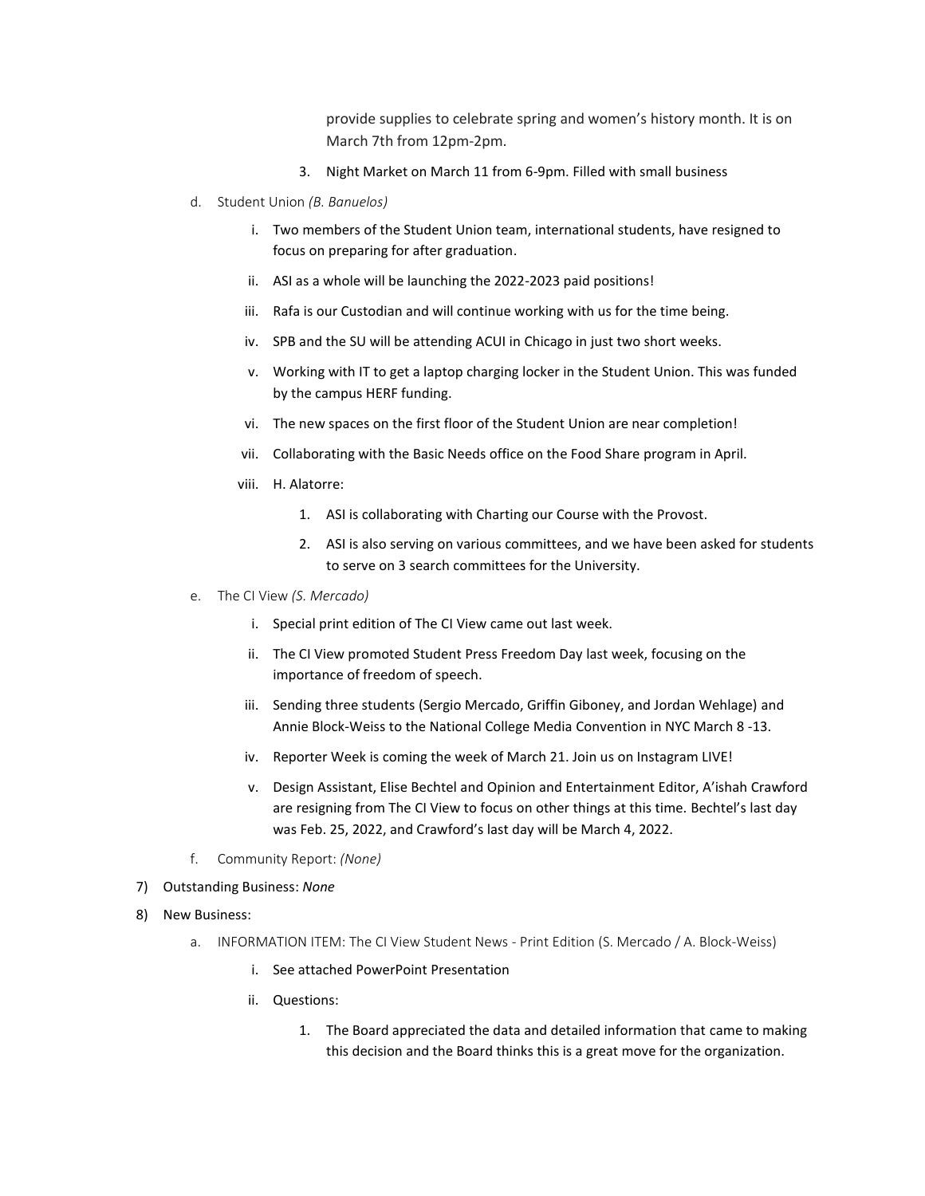provide supplies to celebrate spring and women's history month. It is on March 7th from 12pm-2pm.

- 3. Night Market on March 11 from 6-9pm. Filled with small business
- d. Student Union *(B. Banuelos)*
	- i. Two members of the Student Union team, international students, have resigned to focus on preparing for after graduation.
	- ii. ASI as a whole will be launching the 2022-2023 paid positions!
	- iii. Rafa is our Custodian and will continue working with us for the time being.
	- iv. SPB and the SU will be attending ACUI in Chicago in just two short weeks.
	- v. Working with IT to get a laptop charging locker in the Student Union. This was funded by the campus HERF funding.
	- vi. The new spaces on the first floor of the Student Union are near completion!
	- vii. Collaborating with the Basic Needs office on the Food Share program in April.
	- viii. H. Alatorre:
		- 1. ASI is collaborating with Charting our Course with the Provost.
		- 2. ASI is also serving on various committees, and we have been asked for students to serve on 3 search committees for the University.
- e. The CI View *(S. Mercado)*
	- i. Special print edition of The CI View came out last week.
	- ii. The CI View promoted Student Press Freedom Day last week, focusing on the importance of freedom of speech.
	- iii. Sending three students (Sergio Mercado, Griffin Giboney, and Jordan Wehlage) and Annie Block-Weiss to the National College Media Convention in NYC March 8 -13.
	- iv. Reporter Week is coming the week of March 21. Join us on Instagram LIVE!
	- v. Design Assistant, Elise Bechtel and Opinion and Entertainment Editor, A'ishah Crawford are resigning from The CI View to focus on other things at this time. Bechtel's last day was Feb. 25, 2022, and Crawford's last day will be March 4, 2022.
- f. Community Report: *(None)*
- 7) Outstanding Business: *None*
- 8) New Business:
	- a. INFORMATION ITEM: The CI View Student News Print Edition (S. Mercado / A. Block-Weiss)
		- i. See attached PowerPoint Presentation
		- ii. Questions:
			- 1. The Board appreciated the data and detailed information that came to making this decision and the Board thinks this is a great move for the organization.